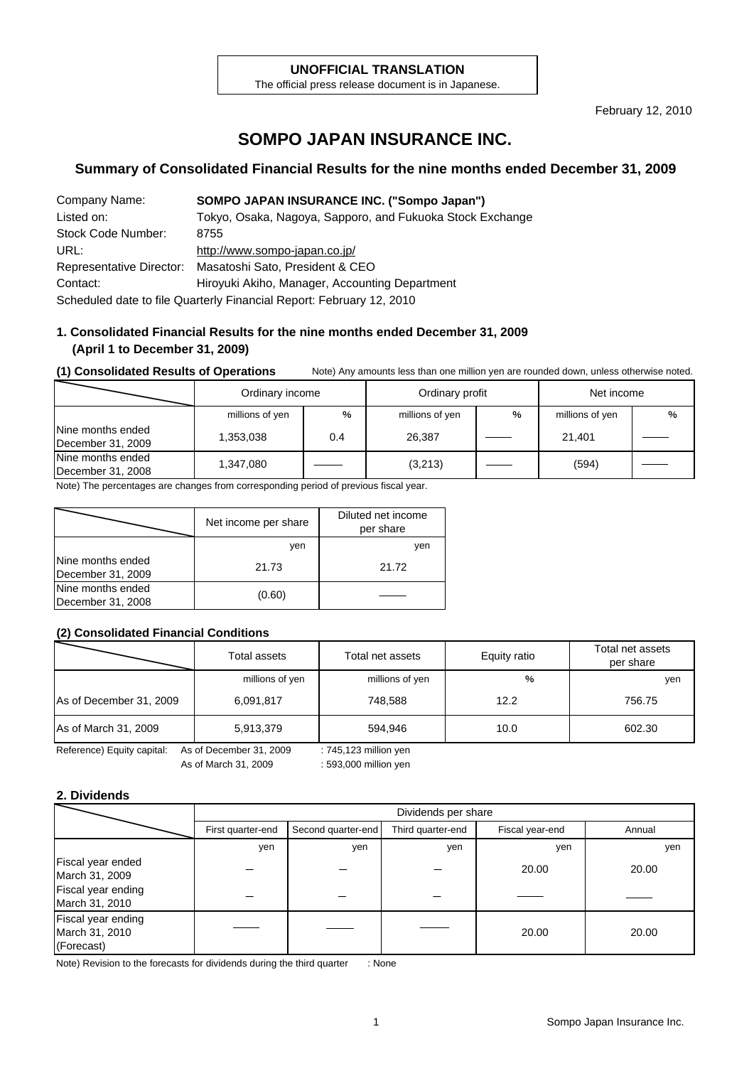#### **UNOFFICIAL TRANSLATION**

The official press release document is in Japanese.

February 12, 2010

# **SOMPO JAPAN INSURANCE INC.**

#### **Summary of Consolidated Financial Results for the nine months ended December 31, 2009**

| Company Name:      | SOMPO JAPAN INSURANCE INC. ("Sompo Japan")                           |
|--------------------|----------------------------------------------------------------------|
| Listed on:         | Tokyo, Osaka, Nagoya, Sapporo, and Fukuoka Stock Exchange            |
| Stock Code Number: | 8755                                                                 |
| URL:               | http://www.sompo-japan.co.jp/                                        |
|                    | Representative Director: Masatoshi Sato, President & CEO             |
| Contact:           | Hiroyuki Akiho, Manager, Accounting Department                       |
|                    | Scheduled date to file Quarterly Financial Report: February 12, 2010 |

#### **1. Consolidated Financial Results for the nine months ended December 31, 2009 (April 1 to December 31, 2009)**

#### **(1) Consolidated Results of Operations** Note) Any amounts less than one million yen are rounded down, unless otherwise noted.

|                                        | Ordinary income |                           | Ordinary profit |                 | Net income |  |  |
|----------------------------------------|-----------------|---------------------------|-----------------|-----------------|------------|--|--|
|                                        | millions of yen | %<br>millions of yen<br>% |                 | millions of yen | %          |  |  |
| Nine months ended<br>December 31, 2009 | 1,353,038       | 0.4                       | 26,387          |                 | 21,401     |  |  |
| Nine months ended<br>December 31, 2008 | 1,347,080       |                           | (3,213)         |                 | (594)      |  |  |

Note) The percentages are changes from corresponding period of previous fiscal year.

|                                        | Net income per share | Diluted net income<br>per share |
|----------------------------------------|----------------------|---------------------------------|
|                                        | ven                  | yen                             |
| Nine months ended<br>December 31, 2009 | 21.73                | 21.72                           |
| Nine months ended<br>December 31, 2008 | (0.60)               |                                 |

#### **(2) Consolidated Financial Conditions**

| $\ddot{\phantom{1}}$       | Total assets                                     | Total net assets | Equity ratio | Total net assets<br>per share |  |  |  |  |
|----------------------------|--------------------------------------------------|------------------|--------------|-------------------------------|--|--|--|--|
|                            | millions of yen                                  | millions of yen  | %            | yen                           |  |  |  |  |
| As of December 31, 2009    | 6,091,817                                        | 748.588          | 12.2         | 756.75                        |  |  |  |  |
| As of March 31, 2009       | 5,913,379                                        | 594.946          | 10.0         | 602.30                        |  |  |  |  |
| Reference) Equity capital: | As of December 31, 2009<br>: 745,123 million yen |                  |              |                               |  |  |  |  |

As of March 31, 2009 : 593,000 million yen

#### **2. Dividends**

|                                                    | Dividends per share |                                                            |     |       |        |  |  |  |  |
|----------------------------------------------------|---------------------|------------------------------------------------------------|-----|-------|--------|--|--|--|--|
|                                                    | First quarter-end   | Third quarter-end<br>Second quarter-end<br>Fiscal year-end |     |       | Annual |  |  |  |  |
|                                                    | yen                 | yen                                                        | yen | yen   | yen    |  |  |  |  |
| Fiscal year ended<br>March 31, 2009                |                     |                                                            |     | 20.00 | 20.00  |  |  |  |  |
| Fiscal year ending<br>March 31, 2010               |                     |                                                            |     |       |        |  |  |  |  |
| Fiscal year ending<br>March 31, 2010<br>(Forecast) |                     |                                                            |     | 20.00 | 20.00  |  |  |  |  |

Note) Revision to the forecasts for dividends during the third quarter : None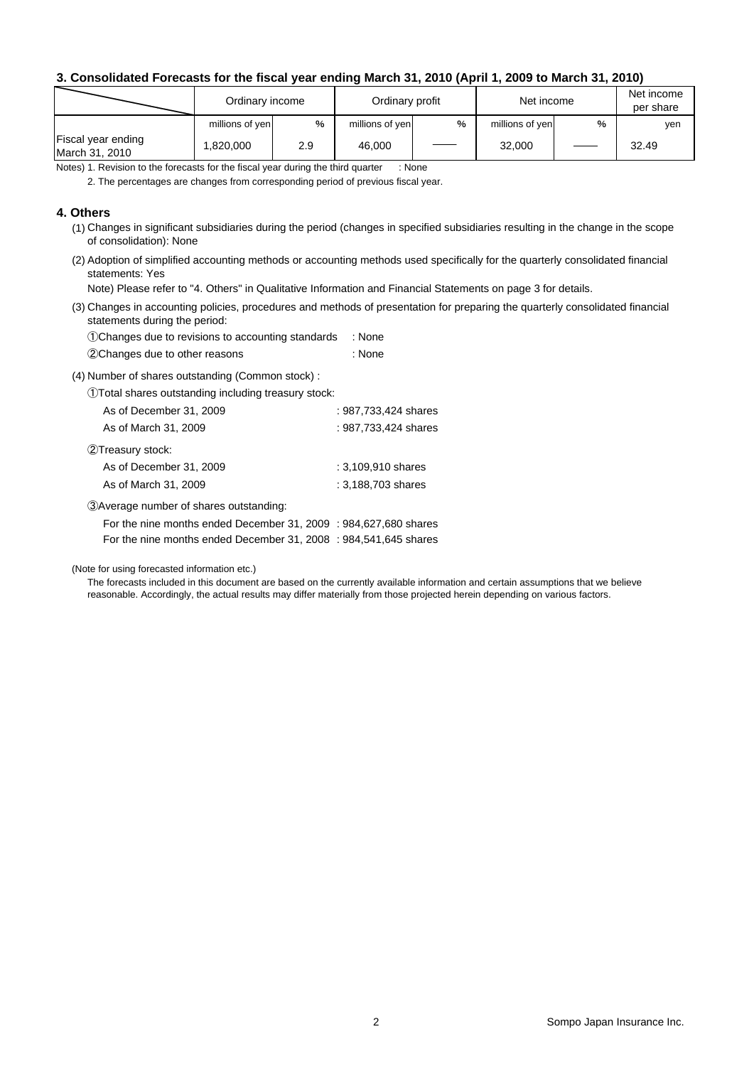#### **3. Consolidated Forecasts for the fiscal year ending March 31, 2010 (April 1, 2009 to March 31, 2010)**

|                                      | Ordinary income |     | Ordinary profit |   | Net income      | Net income<br>per share |       |
|--------------------------------------|-----------------|-----|-----------------|---|-----------------|-------------------------|-------|
|                                      | millions of yen | %   | millions of yen | % | millions of yen | %                       | ven   |
| Fiscal year ending<br>March 31, 2010 | 1.820.000       | 2.9 | 46,000          |   | 32,000          |                         | 32.49 |

Notes) 1. Revision to the forecasts for the fiscal year during the third quarter : None

2. The percentages are changes from corresponding period of previous fiscal year.

#### **4. Others**

- (1) Changes in significant subsidiaries during the period (changes in specified subsidiaries resulting in the change in the scope of consolidation): None
- (2) Adoption of simplified accounting methods or accounting methods used specifically for the quarterly consolidated financial statements: Yes

Note) Please refer to "4. Others" in Qualitative Information and Financial Statements on page 3 for details.

(3) Changes in accounting policies, procedures and methods of presentation for preparing the quarterly consolidated financial statements during the period:

| 1. OChanges due to revisions to accounting standards | : None |
|------------------------------------------------------|--------|
| 2 Changes due to other reasons                       | : None |

(4) Number of shares outstanding (Common stock) :

①Total shares outstanding including treasury stock:

| As of December 31, 2009                  | : 987,733,424 shares |
|------------------------------------------|----------------------|
| As of March 31, 2009                     | : 987,733,424 shares |
| 2Treasury stock:                         |                      |
| As of December 31, 2009                  | : 3,109,910 shares   |
| As of March 31, 2009                     | : 3.188.703 shares   |
| 3) Average number of shares outstanding: |                      |

For the nine months ended December 31, 2009 : 984,627,680 shares For the nine months ended December 31, 2008 : 984,541,645 shares

(Note for using forecasted information etc.)

The forecasts included in this document are based on the currently available information and certain assumptions that we believe reasonable. Accordingly, the actual results may differ materially from those projected herein depending on various factors.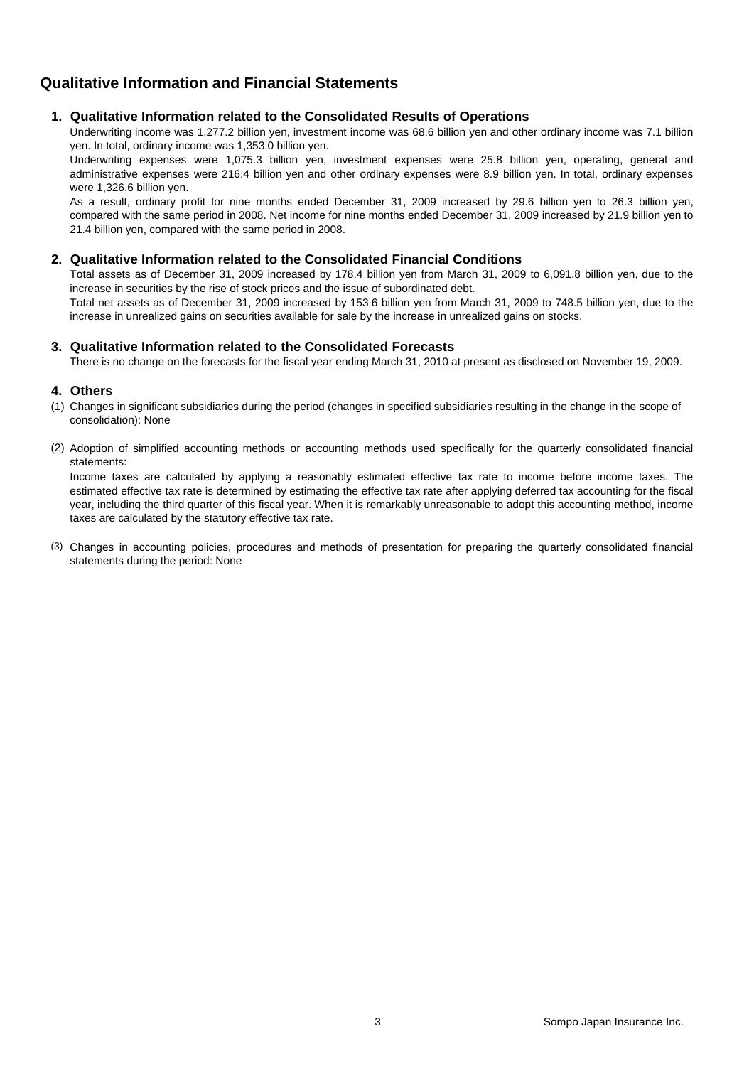### **Qualitative Information and Financial Statements**

#### **1. Qualitative Information related to the Consolidated Results of Operations**

Underwriting income was 1,277.2 billion yen, investment income was 68.6 billion yen and other ordinary income was 7.1 billion yen. In total, ordinary income was 1,353.0 billion yen.

Underwriting expenses were 1,075.3 billion yen, investment expenses were 25.8 billion yen, operating, general and administrative expenses were 216.4 billion yen and other ordinary expenses were 8.9 billion yen. In total, ordinary expenses were 1,326.6 billion yen.

As a result, ordinary profit for nine months ended December 31, 2009 increased by 29.6 billion yen to 26.3 billion yen, compared with the same period in 2008. Net income for nine months ended December 31, 2009 increased by 21.9 billion yen to 21.4 billion yen, compared with the same period in 2008.

#### **2. Qualitative Information related to the Consolidated Financial Conditions**

Total assets as of December 31, 2009 increased by 178.4 billion yen from March 31, 2009 to 6,091.8 billion yen, due to the increase in securities by the rise of stock prices and the issue of subordinated debt.

Total net assets as of December 31, 2009 increased by 153.6 billion yen from March 31, 2009 to 748.5 billion yen, due to the increase in unrealized gains on securities available for sale by the increase in unrealized gains on stocks.

#### **3. Qualitative Information related to the Consolidated Forecasts**

There is no change on the forecasts for the fiscal year ending March 31, 2010 at present as disclosed on November 19, 2009.

#### **4. Others**

- (1) Changes in significant subsidiaries during the period (changes in specified subsidiaries resulting in the change in the scope of consolidation): None
- (2) Adoption of simplified accounting methods or accounting methods used specifically for the quarterly consolidated financial statements:

Income taxes are calculated by applying a reasonably estimated effective tax rate to income before income taxes. The estimated effective tax rate is determined by estimating the effective tax rate after applying deferred tax accounting for the fiscal year, including the third quarter of this fiscal year. When it is remarkably unreasonable to adopt this accounting method, income taxes are calculated by the statutory effective tax rate.

(3) Changes in accounting policies, procedures and methods of presentation for preparing the quarterly consolidated financial statements during the period: None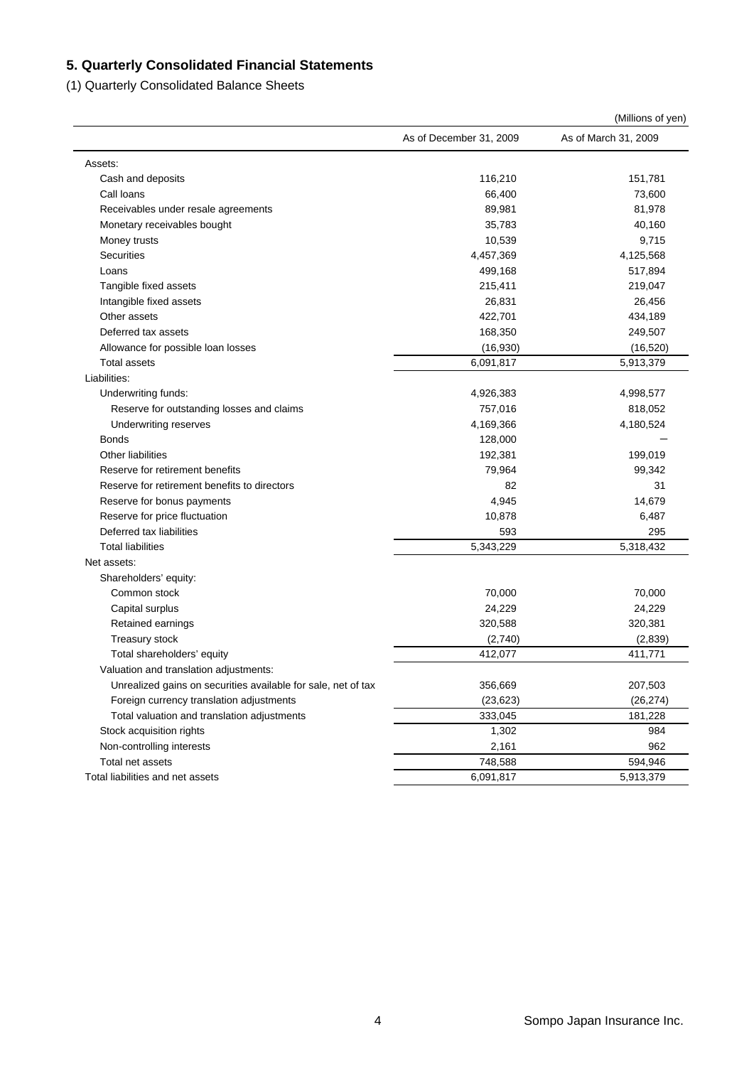### **5. Quarterly Consolidated Financial Statements**

(1) Quarterly Consolidated Balance Sheets

|                                                               |                         | (Millions of yen)    |
|---------------------------------------------------------------|-------------------------|----------------------|
|                                                               | As of December 31, 2009 | As of March 31, 2009 |
| Assets:                                                       |                         |                      |
| Cash and deposits                                             | 116,210                 | 151,781              |
| Call loans                                                    | 66,400                  | 73,600               |
| Receivables under resale agreements                           | 89,981                  | 81,978               |
| Monetary receivables bought                                   | 35,783                  | 40,160               |
| Money trusts                                                  | 10,539                  | 9,715                |
| <b>Securities</b>                                             | 4,457,369               | 4,125,568            |
| Loans                                                         | 499,168                 | 517,894              |
| Tangible fixed assets                                         | 215,411                 | 219,047              |
| Intangible fixed assets                                       | 26,831                  | 26,456               |
| Other assets                                                  | 422,701                 | 434,189              |
| Deferred tax assets                                           | 168,350                 | 249,507              |
| Allowance for possible loan losses                            | (16,930)                | (16, 520)            |
| <b>Total assets</b>                                           | 6,091,817               | 5,913,379            |
| Liabilities:                                                  |                         |                      |
| Underwriting funds:                                           | 4,926,383               | 4,998,577            |
| Reserve for outstanding losses and claims                     | 757,016                 | 818,052              |
| Underwriting reserves                                         | 4,169,366               | 4,180,524            |
| <b>Bonds</b>                                                  | 128,000                 |                      |
| <b>Other liabilities</b>                                      | 192,381                 | 199,019              |
| Reserve for retirement benefits                               | 79,964                  | 99,342               |
| Reserve for retirement benefits to directors                  | 82                      | 31                   |
| Reserve for bonus payments                                    | 4,945                   | 14,679               |
| Reserve for price fluctuation                                 | 10,878                  | 6,487                |
| Deferred tax liabilities                                      | 593                     | 295                  |
| <b>Total liabilities</b>                                      | 5,343,229               | 5,318,432            |
| Net assets:                                                   |                         |                      |
| Shareholders' equity:                                         |                         |                      |
| Common stock                                                  | 70,000                  | 70,000               |
| Capital surplus                                               | 24,229                  | 24,229               |
| Retained earnings                                             | 320,588                 | 320,381              |
| Treasury stock                                                | (2,740)                 | (2,839)              |
| Total shareholders' equity                                    | 412,077                 | 411,771              |
| Valuation and translation adjustments:                        |                         |                      |
| Unrealized gains on securities available for sale, net of tax | 356,669                 | 207,503              |
| Foreign currency translation adjustments                      | (23, 623)               | (26, 274)            |
| Total valuation and translation adjustments                   | 333,045                 | 181,228              |
| Stock acquisition rights                                      | 1,302                   | 984                  |
| Non-controlling interests                                     | 2,161                   | 962                  |
| Total net assets                                              | 748,588                 | 594,946              |
| Total liabilities and net assets                              | 6,091,817               | 5,913,379            |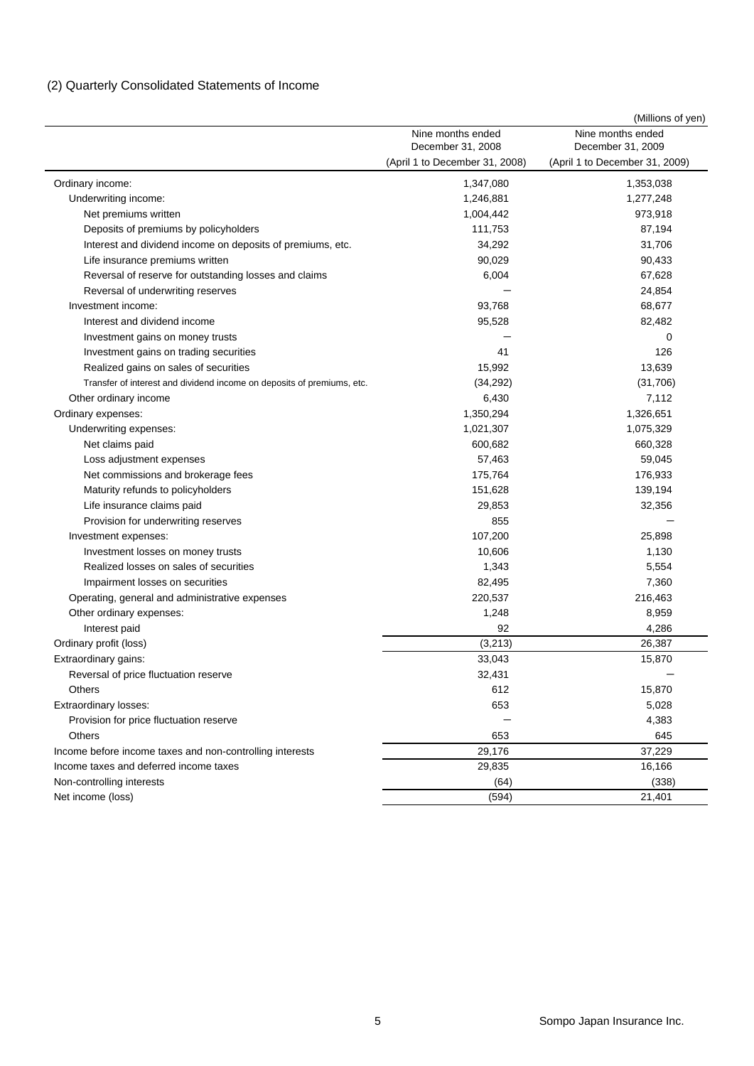### (2) Quarterly Consolidated Statements of Income

|                                                                        |                                        | (Millions of yen)                      |
|------------------------------------------------------------------------|----------------------------------------|----------------------------------------|
|                                                                        | Nine months ended<br>December 31, 2008 | Nine months ended<br>December 31, 2009 |
|                                                                        | (April 1 to December 31, 2008)         | (April 1 to December 31, 2009)         |
| Ordinary income:                                                       | 1,347,080                              | 1,353,038                              |
| Underwriting income:                                                   | 1,246,881                              | 1,277,248                              |
| Net premiums written                                                   | 1,004,442                              | 973,918                                |
| Deposits of premiums by policyholders                                  | 111,753                                | 87,194                                 |
| Interest and dividend income on deposits of premiums, etc.             | 34,292                                 | 31,706                                 |
| Life insurance premiums written                                        | 90,029                                 | 90,433                                 |
| Reversal of reserve for outstanding losses and claims                  | 6,004                                  | 67,628                                 |
| Reversal of underwriting reserves                                      |                                        | 24,854                                 |
| Investment income:                                                     | 93,768                                 | 68,677                                 |
| Interest and dividend income                                           | 95,528                                 | 82,482                                 |
| Investment gains on money trusts                                       |                                        | 0                                      |
| Investment gains on trading securities                                 | 41                                     | 126                                    |
| Realized gains on sales of securities                                  | 15,992                                 | 13,639                                 |
| Transfer of interest and dividend income on deposits of premiums, etc. | (34, 292)                              | (31,706)                               |
| Other ordinary income                                                  | 6,430                                  | 7,112                                  |
| Ordinary expenses:                                                     | 1,350,294                              | 1,326,651                              |
| Underwriting expenses:                                                 | 1,021,307                              | 1,075,329                              |
| Net claims paid                                                        | 600,682                                | 660,328                                |
| Loss adjustment expenses                                               | 57,463                                 | 59,045                                 |
| Net commissions and brokerage fees                                     | 175,764                                | 176,933                                |
| Maturity refunds to policyholders                                      | 151,628                                | 139,194                                |
| Life insurance claims paid                                             | 29,853                                 | 32,356                                 |
| Provision for underwriting reserves                                    | 855                                    |                                        |
| Investment expenses:                                                   | 107,200                                | 25,898                                 |
| Investment losses on money trusts                                      | 10,606                                 | 1,130                                  |
| Realized losses on sales of securities                                 | 1,343                                  | 5,554                                  |
| Impairment losses on securities                                        | 82,495                                 | 7,360                                  |
| Operating, general and administrative expenses                         | 220,537                                | 216,463                                |
| Other ordinary expenses:                                               | 1,248                                  | 8,959                                  |
| Interest paid                                                          | 92                                     | 4,286                                  |
| Ordinary profit (loss)                                                 | (3, 213)                               | 26,387                                 |
| Extraordinary gains:                                                   | 33,043                                 | 15,870                                 |
| Reversal of price fluctuation reserve                                  | 32,431                                 |                                        |
| Others                                                                 | 612                                    | 15,870                                 |
| Extraordinary losses:                                                  | 653                                    | 5,028                                  |
| Provision for price fluctuation reserve                                |                                        | 4,383                                  |
| Others                                                                 | 653                                    | 645                                    |
| Income before income taxes and non-controlling interests               | 29,176                                 | 37,229                                 |
| Income taxes and deferred income taxes                                 | 29,835                                 | 16,166                                 |
| Non-controlling interests                                              | (64)                                   | (338)                                  |
| Net income (loss)                                                      | (594)                                  | 21,401                                 |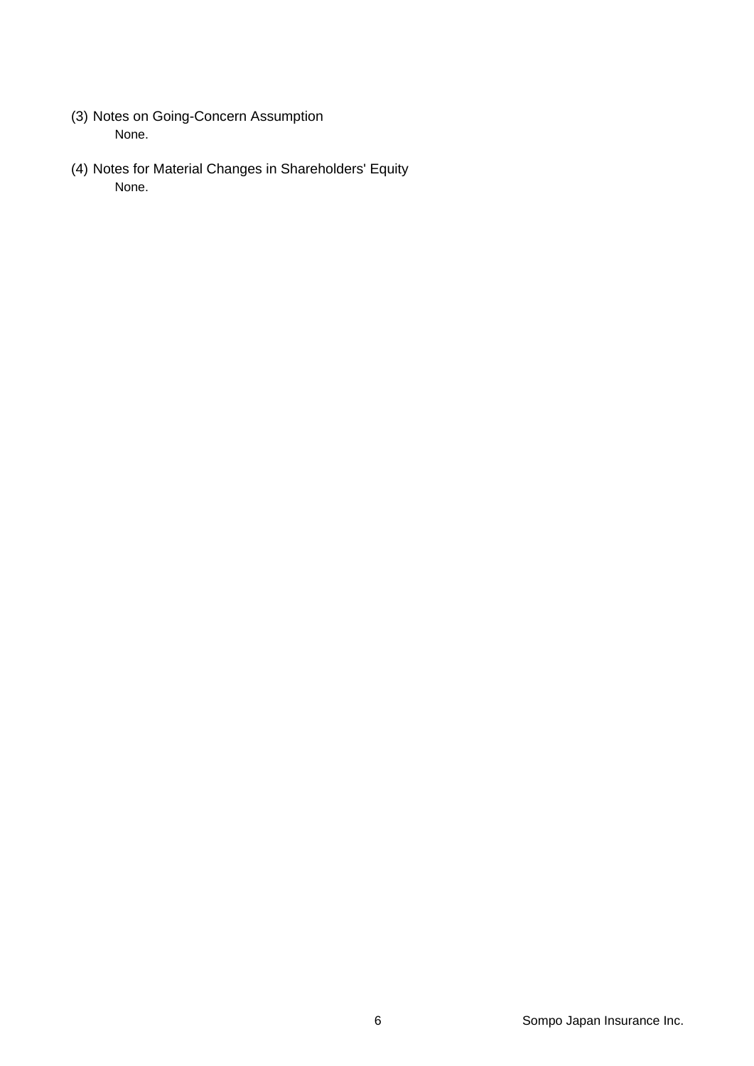- (3) Notes on Going-Concern Assumption None.
- (4) Notes for Material Changes in Shareholders' Equity None.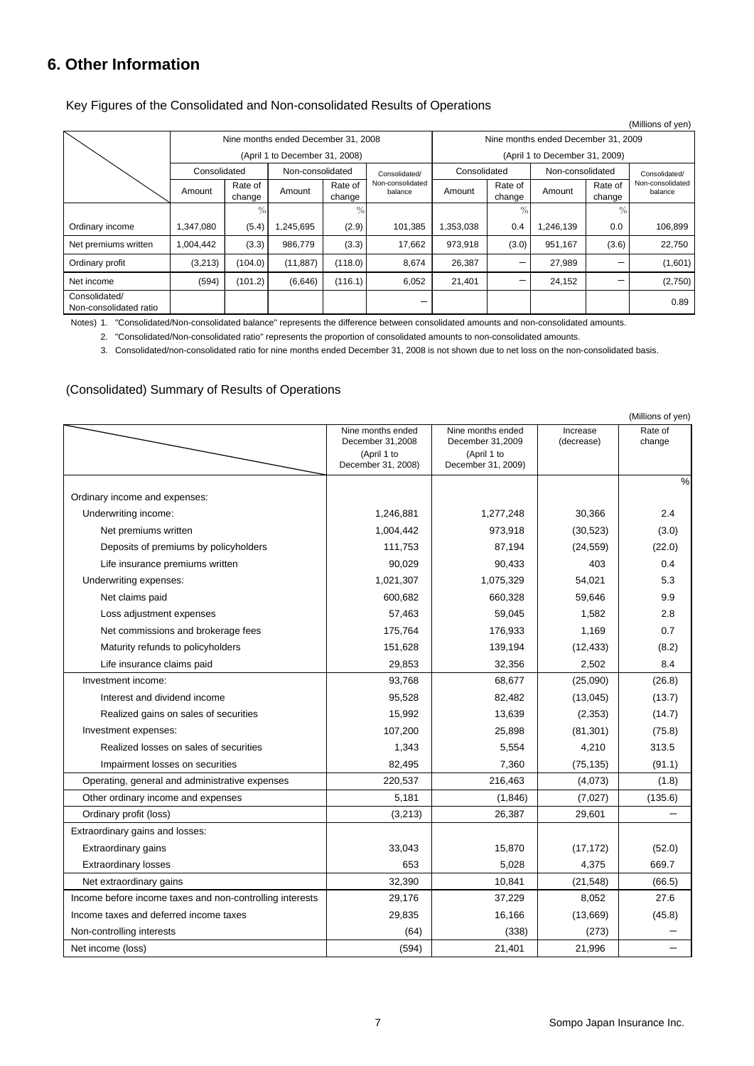### **6. Other Information**

| Key Figures of the Consolidated and Non-consolidated Results of Operations |  |  |
|----------------------------------------------------------------------------|--|--|
|----------------------------------------------------------------------------|--|--|

|                                         |                                     |                   |                                |                   |                             |              |                                     |                                |                   | (Millions of yen)           |  |
|-----------------------------------------|-------------------------------------|-------------------|--------------------------------|-------------------|-----------------------------|--------------|-------------------------------------|--------------------------------|-------------------|-----------------------------|--|
|                                         | Nine months ended December 31, 2008 |                   |                                |                   |                             |              | Nine months ended December 31, 2009 |                                |                   |                             |  |
|                                         |                                     |                   | (April 1 to December 31, 2008) |                   |                             |              |                                     | (April 1 to December 31, 2009) |                   |                             |  |
|                                         | Consolidated                        |                   | Non-consolidated               |                   | Consolidated/               | Consolidated |                                     | Non-consolidated               |                   | Consolidated/               |  |
|                                         | Amount                              | Rate of<br>change | Amount                         | Rate of<br>change | Non-consolidated<br>balance | Amount       | Rate of<br>change                   | Amount                         | Rate of<br>change | Non-consolidated<br>balance |  |
|                                         |                                     | $\%$              |                                | $\frac{0}{6}$     |                             |              | $\frac{0}{0}$                       |                                | $\%$              |                             |  |
| Ordinary income                         | 1,347,080                           | (5.4)             | ,245,695                       | (2.9)             | 101,385                     | 1,353,038    | 0.4                                 | 1,246,139                      | 0.0               | 106,899                     |  |
| Net premiums written                    | 1,004,442                           | (3.3)             | 986,779                        | (3.3)             | 17,662                      | 973,918      | (3.0)                               | 951,167                        | (3.6)             | 22,750                      |  |
| Ordinary profit                         | (3,213)                             | (104.0)           | (11, 887)                      | (118.0)           | 8,674                       | 26,387       | $\qquad \qquad$                     | 27,989                         |                   | (1,601)                     |  |
| Net income                              | (594)                               | (101.2)           | (6,646)                        | (116.1)           | 6,052                       | 21,401       | —                                   | 24,152                         |                   | (2,750)                     |  |
| Consolidated/<br>Non-consolidated ratio |                                     |                   |                                |                   |                             |              |                                     |                                |                   | 0.89                        |  |

Notes) 1. "Consolidated/Non-consolidated balance" represents the difference between consolidated amounts and non-consolidated amounts.

2. "Consolidated/Non-consolidated ratio" represents the proportion of consolidated amounts to non-consolidated amounts.

3. Consolidated/non-consolidated ratio for nine months ended December 31, 2008 is not shown due to net loss on the non-consolidated basis.

#### (Consolidated) Summary of Results of Operations

|                                                          |                                                      |                                                      |                        | (Millions of yen) |
|----------------------------------------------------------|------------------------------------------------------|------------------------------------------------------|------------------------|-------------------|
|                                                          | Nine months ended<br>December 31,2008<br>(April 1 to | Nine months ended<br>December 31,2009<br>(April 1 to | Increase<br>(decrease) | Rate of<br>change |
|                                                          | December 31, 2008)                                   | December 31, 2009)                                   |                        |                   |
|                                                          |                                                      |                                                      |                        | $\%$              |
| Ordinary income and expenses:                            |                                                      |                                                      |                        |                   |
| Underwriting income:                                     | 1,246,881                                            | 1,277,248                                            | 30,366                 | 2.4               |
| Net premiums written                                     | 1,004,442                                            | 973,918                                              | (30, 523)              | (3.0)             |
| Deposits of premiums by policyholders                    | 111,753                                              | 87,194                                               | (24, 559)              | (22.0)            |
| Life insurance premiums written                          | 90,029                                               | 90,433                                               | 403                    | 0.4               |
| Underwriting expenses:                                   | 1,021,307                                            | 1,075,329                                            | 54,021                 | 5.3               |
| Net claims paid                                          | 600,682                                              | 660,328                                              | 59,646                 | 9.9               |
| Loss adjustment expenses                                 | 57,463                                               | 59,045                                               | 1,582                  | 2.8               |
| Net commissions and brokerage fees                       | 175,764                                              | 176,933                                              | 1,169                  | 0.7               |
| Maturity refunds to policyholders                        | 151,628                                              | 139,194                                              | (12, 433)              | (8.2)             |
| Life insurance claims paid                               | 29,853                                               | 32,356                                               | 2,502                  | 8.4               |
| Investment income:                                       | 93,768                                               | 68,677                                               | (25,090)               | (26.8)            |
| Interest and dividend income                             | 95,528                                               | 82,482                                               | (13,045)               | (13.7)            |
| Realized gains on sales of securities                    | 15,992                                               | 13,639                                               | (2, 353)               | (14.7)            |
| Investment expenses:                                     | 107,200                                              | 25,898                                               | (81, 301)              | (75.8)            |
| Realized losses on sales of securities                   | 1,343                                                | 5,554                                                | 4,210                  | 313.5             |
| Impairment losses on securities                          | 82,495                                               | 7,360                                                | (75, 135)              | (91.1)            |
| Operating, general and administrative expenses           | 220,537                                              | 216,463                                              | (4,073)                | (1.8)             |
| Other ordinary income and expenses                       | 5,181                                                | (1,846)                                              | (7,027)                | (135.6)           |
| Ordinary profit (loss)                                   | (3,213)                                              | 26,387                                               | 29,601                 |                   |
| Extraordinary gains and losses:                          |                                                      |                                                      |                        |                   |
| Extraordinary gains                                      | 33,043                                               | 15,870                                               | (17, 172)              | (52.0)            |
| <b>Extraordinary losses</b>                              | 653                                                  | 5,028                                                | 4,375                  | 669.7             |
| Net extraordinary gains                                  | 32,390                                               | 10,841                                               | (21, 548)              | (66.5)            |
| Income before income taxes and non-controlling interests | 29,176                                               | 37,229                                               | 8,052                  | 27.6              |
| Income taxes and deferred income taxes                   | 29,835                                               | 16,166                                               | (13,669)               | (45.8)            |
| Non-controlling interests                                | (64)                                                 | (338)                                                | (273)                  |                   |
| Net income (loss)                                        | (594)                                                | 21,401                                               | 21,996                 |                   |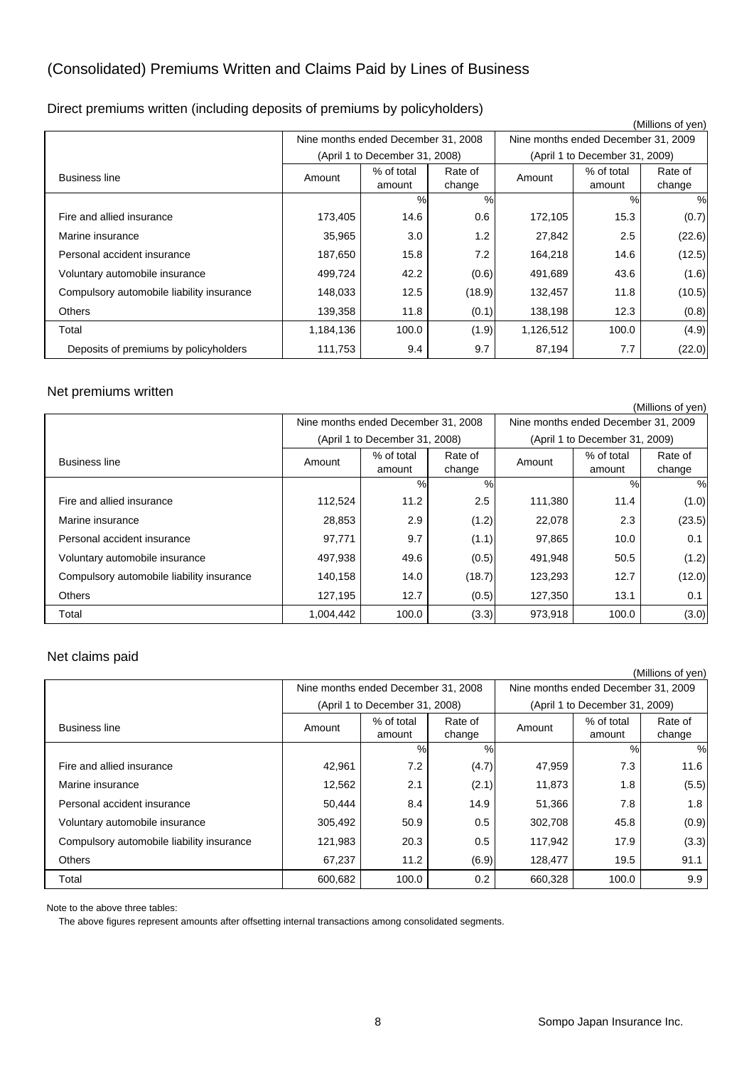# (Consolidated) Premiums Written and Claims Paid by Lines of Business

|  |  | Direct premiums written (including deposits of premiums by policyholders) |  |  |  |
|--|--|---------------------------------------------------------------------------|--|--|--|
|  |  |                                                                           |  |  |  |

|                                           |           |                                     |                   |           |                                     | (Millions of yen) |
|-------------------------------------------|-----------|-------------------------------------|-------------------|-----------|-------------------------------------|-------------------|
|                                           |           | Nine months ended December 31, 2008 |                   |           | Nine months ended December 31, 2009 |                   |
|                                           |           | (April 1 to December 31, 2008)      |                   |           | (April 1 to December 31, 2009)      |                   |
| <b>Business line</b>                      | Amount    | % of total<br>amount                | Rate of<br>change | Amount    | % of total<br>amount                | Rate of<br>change |
|                                           |           | %                                   | %                 |           | %                                   | %                 |
| Fire and allied insurance                 | 173,405   | 14.6                                | 0.6               | 172,105   | 15.3                                | (0.7)             |
| Marine insurance                          | 35,965    | 3.0                                 | 1.2               | 27,842    | 2.5                                 | (22.6)            |
| Personal accident insurance               | 187,650   | 15.8                                | 7.2               | 164,218   | 14.6                                | (12.5)            |
| Voluntary automobile insurance            | 499,724   | 42.2                                | (0.6)             | 491,689   | 43.6                                | (1.6)             |
| Compulsory automobile liability insurance | 148,033   | 12.5                                | (18.9)            | 132,457   | 11.8                                | (10.5)            |
| <b>Others</b>                             | 139,358   | 11.8                                | (0.1)             | 138,198   | 12.3                                | (0.8)             |
| Total                                     | 1,184,136 | 100.0                               | (1.9)             | 1,126,512 | 100.0                               | (4.9)             |
| Deposits of premiums by policyholders     | 111,753   | 9.4                                 | 9.7               | 87,194    | 7.7                                 | (22.0)            |

#### Net premiums written

|                                           |           |                                     |                   |         |                                     | (Millions of yen)              |  |  |
|-------------------------------------------|-----------|-------------------------------------|-------------------|---------|-------------------------------------|--------------------------------|--|--|
|                                           |           | Nine months ended December 31, 2008 |                   |         | Nine months ended December 31, 2009 |                                |  |  |
|                                           |           | (April 1 to December 31, 2008)      |                   |         |                                     | (April 1 to December 31, 2009) |  |  |
| <b>Business line</b>                      | Amount    | % of total<br>amount                | Rate of<br>change | Amount  | % of total<br>amount                | Rate of<br>change              |  |  |
|                                           |           | %                                   | $\%$              |         | %                                   | %                              |  |  |
| Fire and allied insurance                 | 112,524   | 11.2                                | 2.5               | 111,380 | 11.4                                | (1.0)                          |  |  |
| Marine insurance                          | 28,853    | 2.9                                 | (1.2)             | 22,078  | 2.3                                 | (23.5)                         |  |  |
| Personal accident insurance               | 97,771    | 9.7                                 | (1.1)             | 97,865  | 10.0                                | 0.1                            |  |  |
| Voluntary automobile insurance            | 497,938   | 49.6                                | (0.5)             | 491,948 | 50.5                                | (1.2)                          |  |  |
| Compulsory automobile liability insurance | 140.158   | 14.0                                | (18.7)            | 123,293 | 12.7                                | (12.0)                         |  |  |
| <b>Others</b>                             | 127,195   | 12.7                                | (0.5)             | 127.350 | 13.1                                | 0.1                            |  |  |
| Total                                     | 1,004,442 | 100.0                               | (3.3)             | 973,918 | 100.0                               | (3.0)                          |  |  |

#### Net claims paid

|                                           |         |                                     |                   |         |                                     | (Millions of yen) |
|-------------------------------------------|---------|-------------------------------------|-------------------|---------|-------------------------------------|-------------------|
|                                           |         | Nine months ended December 31, 2008 |                   |         | Nine months ended December 31, 2009 |                   |
|                                           |         | (April 1 to December 31, 2008)      |                   |         | (April 1 to December 31, 2009)      |                   |
| <b>Business line</b>                      | Amount  | % of total<br>amount                | Rate of<br>change | Amount  | % of total<br>amount                | Rate of<br>change |
|                                           |         | %                                   | %                 |         | %                                   | %                 |
| Fire and allied insurance                 | 42,961  | 7.2                                 | (4.7)             | 47,959  | 7.3                                 | 11.6              |
| Marine insurance                          | 12,562  | 2.1                                 | (2.1)             | 11,873  | 1.8                                 | (5.5)             |
| Personal accident insurance               | 50.444  | 8.4                                 | 14.9              | 51,366  | 7.8                                 | 1.8               |
| Voluntary automobile insurance            | 305,492 | 50.9                                | 0.5               | 302,708 | 45.8                                | (0.9)             |
| Compulsory automobile liability insurance | 121,983 | 20.3                                | 0.5               | 117,942 | 17.9                                | (3.3)             |
| <b>Others</b>                             | 67,237  | 11.2                                | (6.9)             | 128,477 | 19.5                                | 91.1              |
| Total                                     | 600,682 | 100.0                               | 0.2               | 660,328 | 100.0                               | 9.9               |

Note to the above three tables:

The above figures represent amounts after offsetting internal transactions among consolidated segments.

8 Sompo Japan Insurance Inc.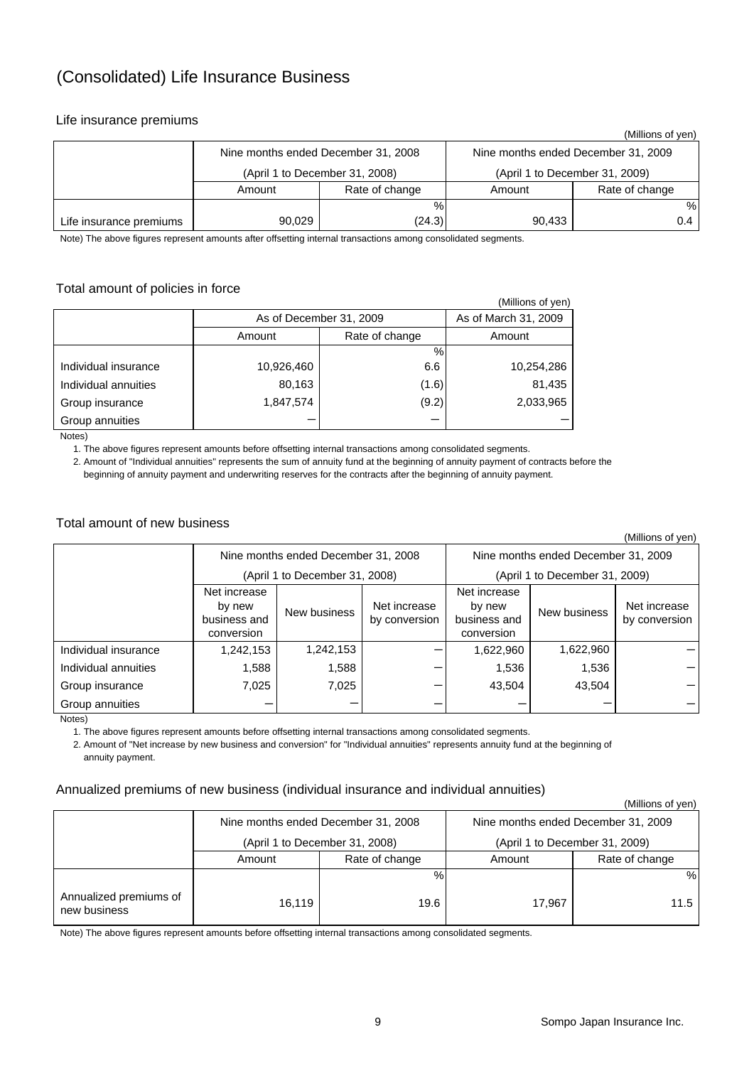# (Consolidated) Life Insurance Business

#### Life insurance premiums

|                         |                                     |                                |        | (Millions of ven)                   |
|-------------------------|-------------------------------------|--------------------------------|--------|-------------------------------------|
|                         | Nine months ended December 31, 2008 |                                |        | Nine months ended December 31, 2009 |
|                         |                                     | (April 1 to December 31, 2008) |        | (April 1 to December 31, 2009)      |
|                         | Amount                              | Rate of change                 | Amount | Rate of change                      |
|                         |                                     | $\%$                           |        | %                                   |
| Life insurance premiums | 90,029                              | (24.3)                         | 90,433 | 0.4                                 |

Note) The above figures represent amounts after offsetting internal transactions among consolidated segments.

#### Total amount of policies in force

|                      |            |                         | (Millions of yen) |  |
|----------------------|------------|-------------------------|-------------------|--|
|                      |            | As of December 31, 2009 |                   |  |
|                      | Amount     | Rate of change          | Amount            |  |
|                      |            | %                       |                   |  |
| Individual insurance | 10,926,460 | 6.6                     | 10,254,286        |  |
| Individual annuities | 80,163     | (1.6)                   | 81,435            |  |
| Group insurance      | 1,847,574  | (9.2)                   | 2,033,965         |  |
| Group annuities      |            |                         |                   |  |

Notes)

1. The above figures represent amounts before offsetting internal transactions among consolidated segments.

 2. Amount of "Individual annuities" represents the sum of annuity fund at the beginning of annuity payment of contracts before the beginning of annuity payment and underwriting reserves for the contracts after the beginning of annuity payment.

#### Total amount of new business

|                      |                                                      |                                     |                                                               |           |                                     | (Millions of yen)             |  |  |
|----------------------|------------------------------------------------------|-------------------------------------|---------------------------------------------------------------|-----------|-------------------------------------|-------------------------------|--|--|
|                      |                                                      | Nine months ended December 31, 2008 |                                                               |           | Nine months ended December 31, 2009 |                               |  |  |
|                      |                                                      | (April 1 to December 31, 2008)      |                                                               |           | (April 1 to December 31, 2009)      |                               |  |  |
|                      | Net increase<br>by new<br>business and<br>conversion | New business                        | Net increase<br>Net increase<br>business and<br>by conversion |           | New business                        | Net increase<br>by conversion |  |  |
| Individual insurance | 1,242,153                                            | 1,242,153                           |                                                               | 1,622,960 | 1,622,960                           |                               |  |  |
| Individual annuities | 1,588                                                | 1,588                               | –                                                             | 1,536     | 1,536                               |                               |  |  |
| Group insurance      | 7,025                                                | 7,025                               | –                                                             | 43,504    | 43,504                              |                               |  |  |
| Group annuities      |                                                      |                                     |                                                               |           |                                     |                               |  |  |

Notes)

1. The above figures represent amounts before offsetting internal transactions among consolidated segments.

 2. Amount of "Net increase by new business and conversion" for "Individual annuities" represents annuity fund at the beginning of annuity payment.

#### Annualized premiums of new business (individual insurance and individual annuities)

(Millions of yen)

|                                        |        | Nine months ended December 31, 2008 |        | Nine months ended December 31, 2009 |
|----------------------------------------|--------|-------------------------------------|--------|-------------------------------------|
|                                        |        | (April 1 to December 31, 2008)      |        | (April 1 to December 31, 2009)      |
|                                        | Amount | Rate of change                      | Amount | Rate of change                      |
|                                        |        | %                                   |        | %                                   |
| Annualized premiums of<br>new business | 16.119 | 19.6                                | 17.967 | 11.5                                |

Note) The above figures represent amounts before offsetting internal transactions among consolidated segments.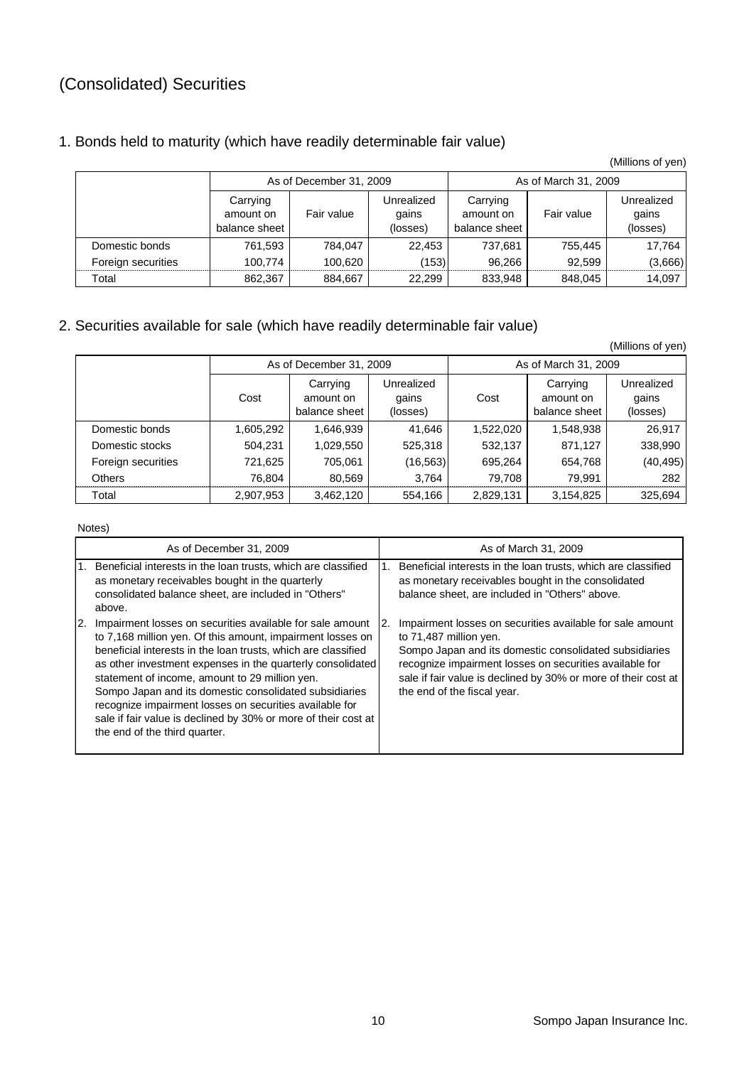# (Consolidated) Securities

### 1. Bonds held to maturity (which have readily determinable fair value)

(Millions of yen)

|                    |                                        | As of December 31, 2009 |                                 | As of March 31, 2009                   |            |                                 |
|--------------------|----------------------------------------|-------------------------|---------------------------------|----------------------------------------|------------|---------------------------------|
|                    | Carrying<br>amount on<br>balance sheet | Fair value              | Unrealized<br>gains<br>(losses) | Carrying<br>amount on<br>balance sheet | Fair value | Unrealized<br>gains<br>(losses) |
| Domestic bonds     | 761,593                                | 784.047                 | 22.453                          | 737.681                                | 755,445    | 17.764                          |
| Foreign securities | 100.774                                | 100.620                 | (153)                           | 96.266                                 | 92.599     | (3,666)                         |
| Total              | 862,367                                | 884,667                 | 22.299                          | 833,948                                | 848,045    | 14,097                          |

### 2. Securities available for sale (which have readily determinable fair value)

|                    |                                                |                         |                                 |           |                                        | (Millions of yen)               |
|--------------------|------------------------------------------------|-------------------------|---------------------------------|-----------|----------------------------------------|---------------------------------|
|                    |                                                | As of December 31, 2009 |                                 |           | As of March 31, 2009                   |                                 |
|                    | Carrying<br>Cost<br>amount on<br>balance sheet |                         | Unrealized<br>qains<br>(losses) | Cost      | Carrying<br>amount on<br>balance sheet | Unrealized<br>gains<br>(losses) |
| Domestic bonds     | 1,605,292                                      | 1,646,939               | 41,646                          | 1,522,020 | 1,548,938                              | 26,917                          |
| Domestic stocks    | 504,231                                        | 1,029,550               | 525,318                         | 532,137   | 871,127                                | 338,990                         |
| Foreign securities | 721,625                                        | 705,061                 | (16, 563)                       | 695,264   | 654,768                                | (40, 495)                       |
| <b>Others</b>      | 76,804                                         | 80,569                  | 3,764                           | 79.708    | 79,991                                 | 282                             |
| Total              | 2,907,953                                      | 3,462,120               | 554,166                         | 2,829,131 | 3,154,825                              | 325,694                         |

Notes)

|    | As of December 31, 2009                                                                                                                                                                                                                                                                                                                                                                                                                                                                                                          |    | As of March 31, 2009                                                                                                                                                                                                                                                                                      |
|----|----------------------------------------------------------------------------------------------------------------------------------------------------------------------------------------------------------------------------------------------------------------------------------------------------------------------------------------------------------------------------------------------------------------------------------------------------------------------------------------------------------------------------------|----|-----------------------------------------------------------------------------------------------------------------------------------------------------------------------------------------------------------------------------------------------------------------------------------------------------------|
|    | Beneficial interests in the loan trusts, which are classified<br>as monetary receivables bought in the quarterly<br>consolidated balance sheet, are included in "Others"<br>above.                                                                                                                                                                                                                                                                                                                                               |    | Beneficial interests in the loan trusts, which are classified<br>as monetary receivables bought in the consolidated<br>balance sheet, are included in "Others" above.                                                                                                                                     |
| 2. | Impairment losses on securities available for sale amount<br>to 7,168 million yen. Of this amount, impairment losses on<br>beneficial interests in the loan trusts, which are classified<br>as other investment expenses in the quarterly consolidated<br>statement of income, amount to 29 million yen.<br>Sompo Japan and its domestic consolidated subsidiaries<br>recognize impairment losses on securities available for<br>sale if fair value is declined by 30% or more of their cost at<br>the end of the third quarter. | 2. | Impairment losses on securities available for sale amount<br>to 71,487 million yen.<br>Sompo Japan and its domestic consolidated subsidiaries<br>recognize impairment losses on securities available for<br>sale if fair value is declined by 30% or more of their cost at<br>the end of the fiscal year. |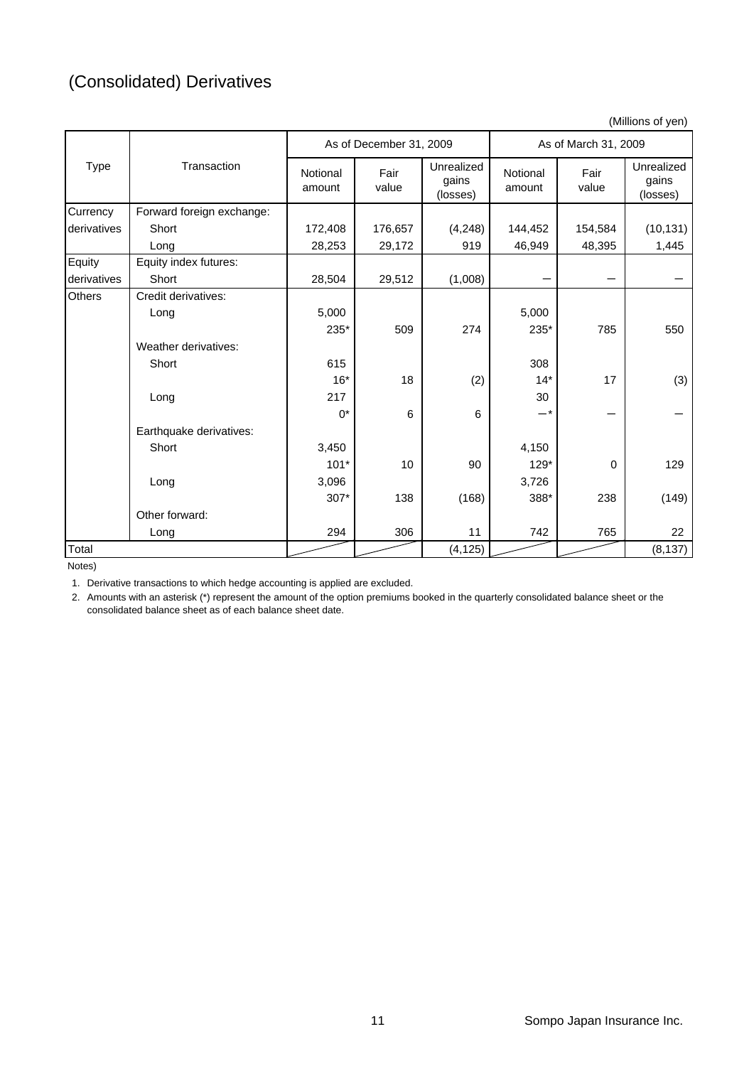# (Consolidated) Derivatives

(Millions of yen)

|             |                           | As of December 31, 2009 |               | As of March 31, 2009            |                    |               |                                 |
|-------------|---------------------------|-------------------------|---------------|---------------------------------|--------------------|---------------|---------------------------------|
| <b>Type</b> | Transaction               | Notional<br>amount      | Fair<br>value | Unrealized<br>qains<br>(losses) | Notional<br>amount | Fair<br>value | Unrealized<br>qains<br>(losses) |
| Currency    | Forward foreign exchange: |                         |               |                                 |                    |               |                                 |
| derivatives | Short                     | 172,408                 | 176,657       | (4, 248)                        | 144,452            | 154,584       | (10, 131)                       |
|             | Long                      | 28,253                  | 29,172        | 919                             | 46,949             | 48,395        | 1,445                           |
| Equity      | Equity index futures:     |                         |               |                                 |                    |               |                                 |
| derivatives | Short                     | 28,504                  | 29,512        | (1,008)                         |                    |               |                                 |
| Others      | Credit derivatives:       |                         |               |                                 |                    |               |                                 |
|             | Long                      | 5,000                   |               |                                 | 5,000              |               |                                 |
|             |                           | 235*                    | 509           | 274                             | 235*               | 785           | 550                             |
|             | Weather derivatives:      |                         |               |                                 |                    |               |                                 |
|             | Short                     | 615                     |               |                                 | 308                |               |                                 |
|             |                           | $16*$                   | 18            | (2)                             | $14*$              | 17            | (3)                             |
|             | Long                      | 217                     |               |                                 | 30                 |               |                                 |
|             |                           | $0^*$                   | 6             | 6                               | _*                 |               |                                 |
|             | Earthquake derivatives:   |                         |               |                                 |                    |               |                                 |
|             | Short                     | 3,450                   |               |                                 | 4,150              |               |                                 |
|             |                           | $101*$                  | 10            | 90                              | $129*$             | 0             | 129                             |
|             | Long                      | 3,096                   |               |                                 | 3,726              |               |                                 |
|             |                           | 307*                    | 138           | (168)                           | 388*               | 238           | (149)                           |
|             | Other forward:            |                         |               |                                 |                    |               |                                 |
|             | Long                      | 294                     | 306           | 11                              | 742                | 765           | 22                              |
| Total       |                           |                         |               | (4, 125)                        |                    |               | (8, 137)                        |

Notes)

1. Derivative transactions to which hedge accounting is applied are excluded.

2. Amounts with an asterisk (\*) represent the amount of the option premiums booked in the quarterly consolidated balance sheet or the consolidated balance sheet as of each balance sheet date.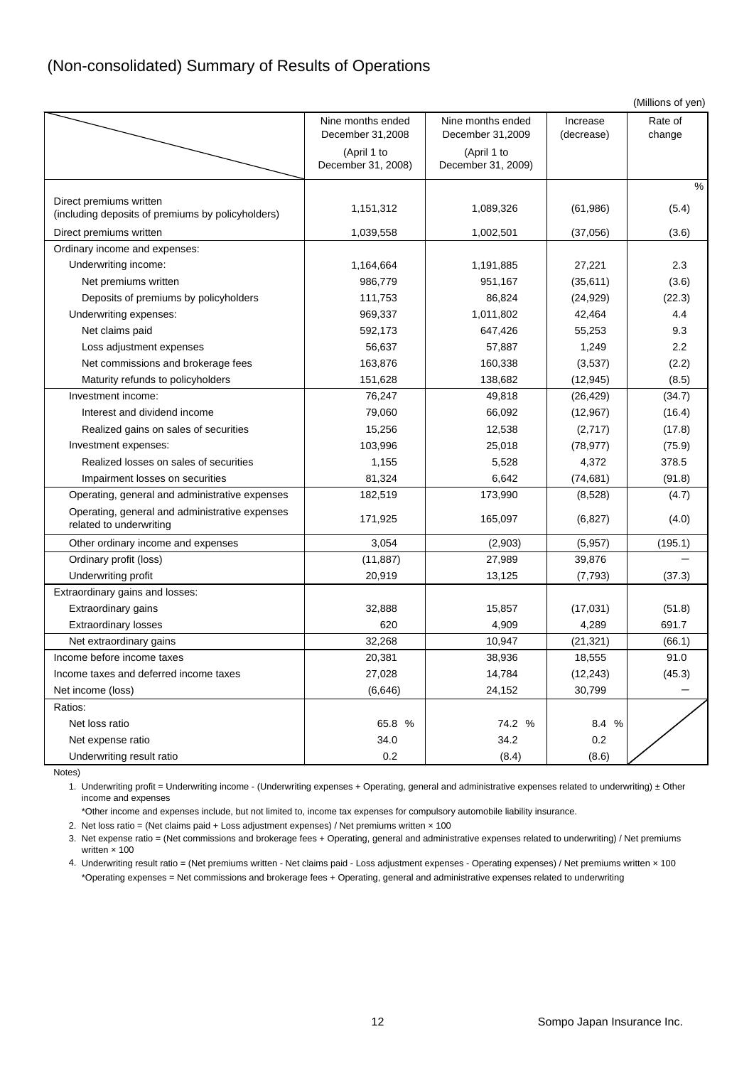### (Non-consolidated) Summary of Results of Operations

| Nine months ended<br>Nine months ended<br>Rate of<br>Increase<br>December 31,2008<br>December 31,2009<br>change<br>(decrease)<br>(April 1 to<br>(April 1 to<br>December 31, 2008)<br>December 31, 2009)<br>$\%$<br>Direct premiums written<br>1,151,312<br>1,089,326<br>(61,986)<br>(5.4)<br>(including deposits of premiums by policyholders)<br>Direct premiums written<br>1,039,558<br>1,002,501<br>(3.6)<br>(37,056)<br>Ordinary income and expenses:<br>Underwriting income:<br>2.3<br>1,164,664<br>1,191,885<br>27,221<br>Net premiums written<br>986,779<br>951,167<br>(35, 611)<br>(3.6)<br>(22.3)<br>Deposits of premiums by policyholders<br>111,753<br>86,824<br>(24, 929)<br>4.4<br>Underwriting expenses:<br>969,337<br>1,011,802<br>42,464<br>592,173<br>647,426<br>9.3<br>Net claims paid<br>55,253<br>2.2<br>56,637<br>57,887<br>Loss adjustment expenses<br>1,249<br>(2.2)<br>Net commissions and brokerage fees<br>163,876<br>160,338<br>(3,537)<br>138,682<br>(8.5)<br>Maturity refunds to policyholders<br>151,628<br>(12, 945)<br>Investment income:<br>76,247<br>49,818<br>(34.7)<br>(26, 429)<br>Interest and dividend income<br>79,060<br>66,092<br>(12, 967)<br>(16.4)<br>Realized gains on sales of securities<br>15,256<br>12,538<br>(2,717)<br>(17.8)<br>Investment expenses:<br>103,996<br>25,018<br>(78, 977)<br>(75.9)<br>378.5<br>Realized losses on sales of securities<br>1,155<br>5,528<br>4,372<br>6,642<br>81,324<br>(74, 681)<br>(91.8)<br>Impairment losses on securities<br>Operating, general and administrative expenses<br>182,519<br>173,990<br>(8,528)<br>(4.7)<br>Operating, general and administrative expenses<br>171,925<br>165,097<br>(4.0)<br>(6, 827)<br>related to underwriting<br>3,054<br>(195.1)<br>Other ordinary income and expenses<br>(2,903)<br>(5,957)<br>Ordinary profit (loss)<br>27,989<br>(11, 887)<br>39,876<br>Underwriting profit<br>20,919<br>13,125<br>(7, 793)<br>(37.3)<br>Extraordinary gains and losses:<br>Extraordinary gains<br>32,888<br>15,857<br>(17,031)<br>(51.8)<br>691.7<br><b>Extraordinary losses</b><br>620<br>4,909<br>4,289<br>Net extraordinary gains<br>32,268<br>10,947<br>(21, 321)<br>(66.1)<br>Income before income taxes<br>20,381<br>38,936<br>18,555<br>91.0<br>Income taxes and deferred income taxes<br>27,028<br>14,784<br>(12, 243)<br>(45.3)<br>Net income (loss)<br>(6,646)<br>30,799<br>24,152<br>Ratios:<br>Net loss ratio<br>65.8 %<br>74.2 %<br>8.4 %<br>34.2<br>0.2<br>34.0<br>Net expense ratio<br>Underwriting result ratio<br>$0.2\,$<br>(8.4)<br>(8.6) |  |  | (Millions of yen) |
|--------------------------------------------------------------------------------------------------------------------------------------------------------------------------------------------------------------------------------------------------------------------------------------------------------------------------------------------------------------------------------------------------------------------------------------------------------------------------------------------------------------------------------------------------------------------------------------------------------------------------------------------------------------------------------------------------------------------------------------------------------------------------------------------------------------------------------------------------------------------------------------------------------------------------------------------------------------------------------------------------------------------------------------------------------------------------------------------------------------------------------------------------------------------------------------------------------------------------------------------------------------------------------------------------------------------------------------------------------------------------------------------------------------------------------------------------------------------------------------------------------------------------------------------------------------------------------------------------------------------------------------------------------------------------------------------------------------------------------------------------------------------------------------------------------------------------------------------------------------------------------------------------------------------------------------------------------------------------------------------------------------------------------------------------------------------------------------------------------------------------------------------------------------------------------------------------------------------------------------------------------------------------------------------------------------------------------------------------------------------------------------------------------------------------------------------------------------------------------------------------------------------------------------------------------------------------|--|--|-------------------|
|                                                                                                                                                                                                                                                                                                                                                                                                                                                                                                                                                                                                                                                                                                                                                                                                                                                                                                                                                                                                                                                                                                                                                                                                                                                                                                                                                                                                                                                                                                                                                                                                                                                                                                                                                                                                                                                                                                                                                                                                                                                                                                                                                                                                                                                                                                                                                                                                                                                                                                                                                                          |  |  |                   |
|                                                                                                                                                                                                                                                                                                                                                                                                                                                                                                                                                                                                                                                                                                                                                                                                                                                                                                                                                                                                                                                                                                                                                                                                                                                                                                                                                                                                                                                                                                                                                                                                                                                                                                                                                                                                                                                                                                                                                                                                                                                                                                                                                                                                                                                                                                                                                                                                                                                                                                                                                                          |  |  |                   |
|                                                                                                                                                                                                                                                                                                                                                                                                                                                                                                                                                                                                                                                                                                                                                                                                                                                                                                                                                                                                                                                                                                                                                                                                                                                                                                                                                                                                                                                                                                                                                                                                                                                                                                                                                                                                                                                                                                                                                                                                                                                                                                                                                                                                                                                                                                                                                                                                                                                                                                                                                                          |  |  |                   |
|                                                                                                                                                                                                                                                                                                                                                                                                                                                                                                                                                                                                                                                                                                                                                                                                                                                                                                                                                                                                                                                                                                                                                                                                                                                                                                                                                                                                                                                                                                                                                                                                                                                                                                                                                                                                                                                                                                                                                                                                                                                                                                                                                                                                                                                                                                                                                                                                                                                                                                                                                                          |  |  |                   |
|                                                                                                                                                                                                                                                                                                                                                                                                                                                                                                                                                                                                                                                                                                                                                                                                                                                                                                                                                                                                                                                                                                                                                                                                                                                                                                                                                                                                                                                                                                                                                                                                                                                                                                                                                                                                                                                                                                                                                                                                                                                                                                                                                                                                                                                                                                                                                                                                                                                                                                                                                                          |  |  |                   |
|                                                                                                                                                                                                                                                                                                                                                                                                                                                                                                                                                                                                                                                                                                                                                                                                                                                                                                                                                                                                                                                                                                                                                                                                                                                                                                                                                                                                                                                                                                                                                                                                                                                                                                                                                                                                                                                                                                                                                                                                                                                                                                                                                                                                                                                                                                                                                                                                                                                                                                                                                                          |  |  |                   |
|                                                                                                                                                                                                                                                                                                                                                                                                                                                                                                                                                                                                                                                                                                                                                                                                                                                                                                                                                                                                                                                                                                                                                                                                                                                                                                                                                                                                                                                                                                                                                                                                                                                                                                                                                                                                                                                                                                                                                                                                                                                                                                                                                                                                                                                                                                                                                                                                                                                                                                                                                                          |  |  |                   |
|                                                                                                                                                                                                                                                                                                                                                                                                                                                                                                                                                                                                                                                                                                                                                                                                                                                                                                                                                                                                                                                                                                                                                                                                                                                                                                                                                                                                                                                                                                                                                                                                                                                                                                                                                                                                                                                                                                                                                                                                                                                                                                                                                                                                                                                                                                                                                                                                                                                                                                                                                                          |  |  |                   |
|                                                                                                                                                                                                                                                                                                                                                                                                                                                                                                                                                                                                                                                                                                                                                                                                                                                                                                                                                                                                                                                                                                                                                                                                                                                                                                                                                                                                                                                                                                                                                                                                                                                                                                                                                                                                                                                                                                                                                                                                                                                                                                                                                                                                                                                                                                                                                                                                                                                                                                                                                                          |  |  |                   |
|                                                                                                                                                                                                                                                                                                                                                                                                                                                                                                                                                                                                                                                                                                                                                                                                                                                                                                                                                                                                                                                                                                                                                                                                                                                                                                                                                                                                                                                                                                                                                                                                                                                                                                                                                                                                                                                                                                                                                                                                                                                                                                                                                                                                                                                                                                                                                                                                                                                                                                                                                                          |  |  |                   |
|                                                                                                                                                                                                                                                                                                                                                                                                                                                                                                                                                                                                                                                                                                                                                                                                                                                                                                                                                                                                                                                                                                                                                                                                                                                                                                                                                                                                                                                                                                                                                                                                                                                                                                                                                                                                                                                                                                                                                                                                                                                                                                                                                                                                                                                                                                                                                                                                                                                                                                                                                                          |  |  |                   |
|                                                                                                                                                                                                                                                                                                                                                                                                                                                                                                                                                                                                                                                                                                                                                                                                                                                                                                                                                                                                                                                                                                                                                                                                                                                                                                                                                                                                                                                                                                                                                                                                                                                                                                                                                                                                                                                                                                                                                                                                                                                                                                                                                                                                                                                                                                                                                                                                                                                                                                                                                                          |  |  |                   |
|                                                                                                                                                                                                                                                                                                                                                                                                                                                                                                                                                                                                                                                                                                                                                                                                                                                                                                                                                                                                                                                                                                                                                                                                                                                                                                                                                                                                                                                                                                                                                                                                                                                                                                                                                                                                                                                                                                                                                                                                                                                                                                                                                                                                                                                                                                                                                                                                                                                                                                                                                                          |  |  |                   |
|                                                                                                                                                                                                                                                                                                                                                                                                                                                                                                                                                                                                                                                                                                                                                                                                                                                                                                                                                                                                                                                                                                                                                                                                                                                                                                                                                                                                                                                                                                                                                                                                                                                                                                                                                                                                                                                                                                                                                                                                                                                                                                                                                                                                                                                                                                                                                                                                                                                                                                                                                                          |  |  |                   |
|                                                                                                                                                                                                                                                                                                                                                                                                                                                                                                                                                                                                                                                                                                                                                                                                                                                                                                                                                                                                                                                                                                                                                                                                                                                                                                                                                                                                                                                                                                                                                                                                                                                                                                                                                                                                                                                                                                                                                                                                                                                                                                                                                                                                                                                                                                                                                                                                                                                                                                                                                                          |  |  |                   |
|                                                                                                                                                                                                                                                                                                                                                                                                                                                                                                                                                                                                                                                                                                                                                                                                                                                                                                                                                                                                                                                                                                                                                                                                                                                                                                                                                                                                                                                                                                                                                                                                                                                                                                                                                                                                                                                                                                                                                                                                                                                                                                                                                                                                                                                                                                                                                                                                                                                                                                                                                                          |  |  |                   |
|                                                                                                                                                                                                                                                                                                                                                                                                                                                                                                                                                                                                                                                                                                                                                                                                                                                                                                                                                                                                                                                                                                                                                                                                                                                                                                                                                                                                                                                                                                                                                                                                                                                                                                                                                                                                                                                                                                                                                                                                                                                                                                                                                                                                                                                                                                                                                                                                                                                                                                                                                                          |  |  |                   |
|                                                                                                                                                                                                                                                                                                                                                                                                                                                                                                                                                                                                                                                                                                                                                                                                                                                                                                                                                                                                                                                                                                                                                                                                                                                                                                                                                                                                                                                                                                                                                                                                                                                                                                                                                                                                                                                                                                                                                                                                                                                                                                                                                                                                                                                                                                                                                                                                                                                                                                                                                                          |  |  |                   |
|                                                                                                                                                                                                                                                                                                                                                                                                                                                                                                                                                                                                                                                                                                                                                                                                                                                                                                                                                                                                                                                                                                                                                                                                                                                                                                                                                                                                                                                                                                                                                                                                                                                                                                                                                                                                                                                                                                                                                                                                                                                                                                                                                                                                                                                                                                                                                                                                                                                                                                                                                                          |  |  |                   |
|                                                                                                                                                                                                                                                                                                                                                                                                                                                                                                                                                                                                                                                                                                                                                                                                                                                                                                                                                                                                                                                                                                                                                                                                                                                                                                                                                                                                                                                                                                                                                                                                                                                                                                                                                                                                                                                                                                                                                                                                                                                                                                                                                                                                                                                                                                                                                                                                                                                                                                                                                                          |  |  |                   |
|                                                                                                                                                                                                                                                                                                                                                                                                                                                                                                                                                                                                                                                                                                                                                                                                                                                                                                                                                                                                                                                                                                                                                                                                                                                                                                                                                                                                                                                                                                                                                                                                                                                                                                                                                                                                                                                                                                                                                                                                                                                                                                                                                                                                                                                                                                                                                                                                                                                                                                                                                                          |  |  |                   |
|                                                                                                                                                                                                                                                                                                                                                                                                                                                                                                                                                                                                                                                                                                                                                                                                                                                                                                                                                                                                                                                                                                                                                                                                                                                                                                                                                                                                                                                                                                                                                                                                                                                                                                                                                                                                                                                                                                                                                                                                                                                                                                                                                                                                                                                                                                                                                                                                                                                                                                                                                                          |  |  |                   |
|                                                                                                                                                                                                                                                                                                                                                                                                                                                                                                                                                                                                                                                                                                                                                                                                                                                                                                                                                                                                                                                                                                                                                                                                                                                                                                                                                                                                                                                                                                                                                                                                                                                                                                                                                                                                                                                                                                                                                                                                                                                                                                                                                                                                                                                                                                                                                                                                                                                                                                                                                                          |  |  |                   |
|                                                                                                                                                                                                                                                                                                                                                                                                                                                                                                                                                                                                                                                                                                                                                                                                                                                                                                                                                                                                                                                                                                                                                                                                                                                                                                                                                                                                                                                                                                                                                                                                                                                                                                                                                                                                                                                                                                                                                                                                                                                                                                                                                                                                                                                                                                                                                                                                                                                                                                                                                                          |  |  |                   |
|                                                                                                                                                                                                                                                                                                                                                                                                                                                                                                                                                                                                                                                                                                                                                                                                                                                                                                                                                                                                                                                                                                                                                                                                                                                                                                                                                                                                                                                                                                                                                                                                                                                                                                                                                                                                                                                                                                                                                                                                                                                                                                                                                                                                                                                                                                                                                                                                                                                                                                                                                                          |  |  |                   |
|                                                                                                                                                                                                                                                                                                                                                                                                                                                                                                                                                                                                                                                                                                                                                                                                                                                                                                                                                                                                                                                                                                                                                                                                                                                                                                                                                                                                                                                                                                                                                                                                                                                                                                                                                                                                                                                                                                                                                                                                                                                                                                                                                                                                                                                                                                                                                                                                                                                                                                                                                                          |  |  |                   |
|                                                                                                                                                                                                                                                                                                                                                                                                                                                                                                                                                                                                                                                                                                                                                                                                                                                                                                                                                                                                                                                                                                                                                                                                                                                                                                                                                                                                                                                                                                                                                                                                                                                                                                                                                                                                                                                                                                                                                                                                                                                                                                                                                                                                                                                                                                                                                                                                                                                                                                                                                                          |  |  |                   |
|                                                                                                                                                                                                                                                                                                                                                                                                                                                                                                                                                                                                                                                                                                                                                                                                                                                                                                                                                                                                                                                                                                                                                                                                                                                                                                                                                                                                                                                                                                                                                                                                                                                                                                                                                                                                                                                                                                                                                                                                                                                                                                                                                                                                                                                                                                                                                                                                                                                                                                                                                                          |  |  |                   |
|                                                                                                                                                                                                                                                                                                                                                                                                                                                                                                                                                                                                                                                                                                                                                                                                                                                                                                                                                                                                                                                                                                                                                                                                                                                                                                                                                                                                                                                                                                                                                                                                                                                                                                                                                                                                                                                                                                                                                                                                                                                                                                                                                                                                                                                                                                                                                                                                                                                                                                                                                                          |  |  |                   |
|                                                                                                                                                                                                                                                                                                                                                                                                                                                                                                                                                                                                                                                                                                                                                                                                                                                                                                                                                                                                                                                                                                                                                                                                                                                                                                                                                                                                                                                                                                                                                                                                                                                                                                                                                                                                                                                                                                                                                                                                                                                                                                                                                                                                                                                                                                                                                                                                                                                                                                                                                                          |  |  |                   |
|                                                                                                                                                                                                                                                                                                                                                                                                                                                                                                                                                                                                                                                                                                                                                                                                                                                                                                                                                                                                                                                                                                                                                                                                                                                                                                                                                                                                                                                                                                                                                                                                                                                                                                                                                                                                                                                                                                                                                                                                                                                                                                                                                                                                                                                                                                                                                                                                                                                                                                                                                                          |  |  |                   |
|                                                                                                                                                                                                                                                                                                                                                                                                                                                                                                                                                                                                                                                                                                                                                                                                                                                                                                                                                                                                                                                                                                                                                                                                                                                                                                                                                                                                                                                                                                                                                                                                                                                                                                                                                                                                                                                                                                                                                                                                                                                                                                                                                                                                                                                                                                                                                                                                                                                                                                                                                                          |  |  |                   |
|                                                                                                                                                                                                                                                                                                                                                                                                                                                                                                                                                                                                                                                                                                                                                                                                                                                                                                                                                                                                                                                                                                                                                                                                                                                                                                                                                                                                                                                                                                                                                                                                                                                                                                                                                                                                                                                                                                                                                                                                                                                                                                                                                                                                                                                                                                                                                                                                                                                                                                                                                                          |  |  |                   |
|                                                                                                                                                                                                                                                                                                                                                                                                                                                                                                                                                                                                                                                                                                                                                                                                                                                                                                                                                                                                                                                                                                                                                                                                                                                                                                                                                                                                                                                                                                                                                                                                                                                                                                                                                                                                                                                                                                                                                                                                                                                                                                                                                                                                                                                                                                                                                                                                                                                                                                                                                                          |  |  |                   |
|                                                                                                                                                                                                                                                                                                                                                                                                                                                                                                                                                                                                                                                                                                                                                                                                                                                                                                                                                                                                                                                                                                                                                                                                                                                                                                                                                                                                                                                                                                                                                                                                                                                                                                                                                                                                                                                                                                                                                                                                                                                                                                                                                                                                                                                                                                                                                                                                                                                                                                                                                                          |  |  |                   |
|                                                                                                                                                                                                                                                                                                                                                                                                                                                                                                                                                                                                                                                                                                                                                                                                                                                                                                                                                                                                                                                                                                                                                                                                                                                                                                                                                                                                                                                                                                                                                                                                                                                                                                                                                                                                                                                                                                                                                                                                                                                                                                                                                                                                                                                                                                                                                                                                                                                                                                                                                                          |  |  |                   |
|                                                                                                                                                                                                                                                                                                                                                                                                                                                                                                                                                                                                                                                                                                                                                                                                                                                                                                                                                                                                                                                                                                                                                                                                                                                                                                                                                                                                                                                                                                                                                                                                                                                                                                                                                                                                                                                                                                                                                                                                                                                                                                                                                                                                                                                                                                                                                                                                                                                                                                                                                                          |  |  |                   |
|                                                                                                                                                                                                                                                                                                                                                                                                                                                                                                                                                                                                                                                                                                                                                                                                                                                                                                                                                                                                                                                                                                                                                                                                                                                                                                                                                                                                                                                                                                                                                                                                                                                                                                                                                                                                                                                                                                                                                                                                                                                                                                                                                                                                                                                                                                                                                                                                                                                                                                                                                                          |  |  |                   |
|                                                                                                                                                                                                                                                                                                                                                                                                                                                                                                                                                                                                                                                                                                                                                                                                                                                                                                                                                                                                                                                                                                                                                                                                                                                                                                                                                                                                                                                                                                                                                                                                                                                                                                                                                                                                                                                                                                                                                                                                                                                                                                                                                                                                                                                                                                                                                                                                                                                                                                                                                                          |  |  |                   |

Notes)

1. Underwriting profit = Underwriting income - (Underwriting expenses + Operating, general and administrative expenses related to underwriting) ± Other income and expenses

\*Other income and expenses include, but not limited to, income tax expenses for compulsory automobile liability insurance.

2. Net loss ratio = (Net claims paid + Loss adjustment expenses) / Net premiums written × 100

3. Net expense ratio = (Net commissions and brokerage fees + Operating, general and administrative expenses related to underwriting) / Net premiums written × 100

4. Underwriting result ratio = (Net premiums written - Net claims paid - Loss adjustment expenses - Operating expenses) / Net premiums written × 100 \*Operating expenses = Net commissions and brokerage fees + Operating, general and administrative expenses related to underwriting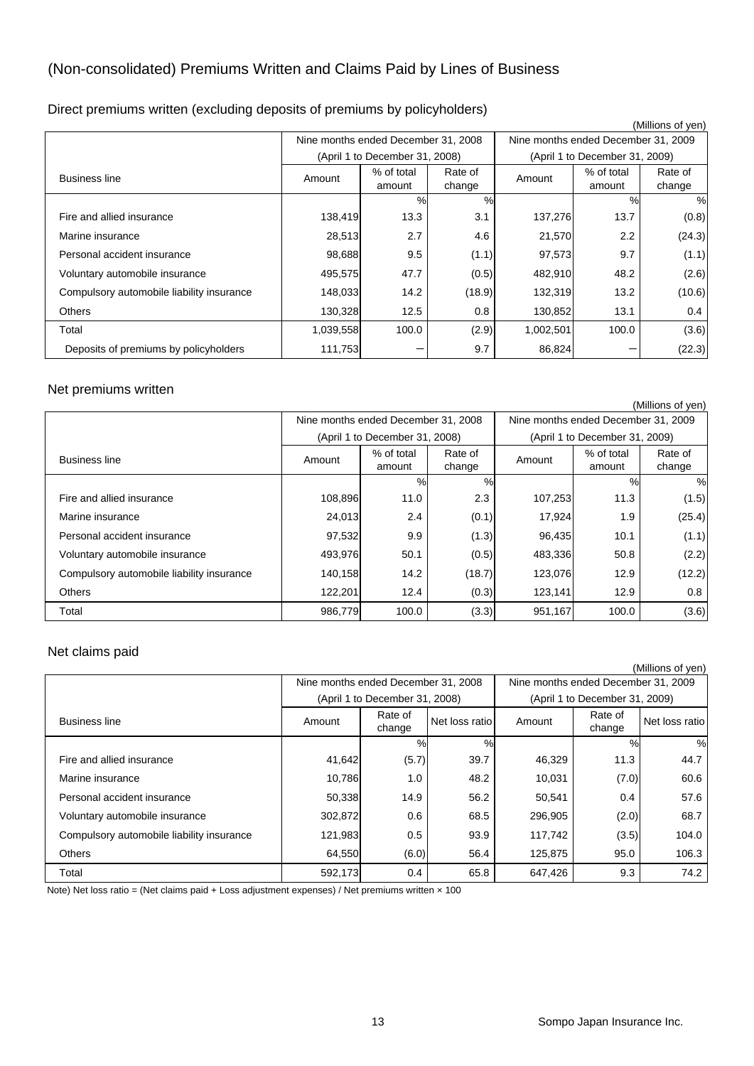# (Non-consolidated) Premiums Written and Claims Paid by Lines of Business

|  |  |  | Direct premiums written (excluding deposits of premiums by policyholders) |  |  |
|--|--|--|---------------------------------------------------------------------------|--|--|
|  |  |  |                                                                           |  |  |

| (Millions of yen)                         |                                     |                                |                   |                                     |                      |                   |  |
|-------------------------------------------|-------------------------------------|--------------------------------|-------------------|-------------------------------------|----------------------|-------------------|--|
|                                           | Nine months ended December 31, 2008 |                                |                   | Nine months ended December 31, 2009 |                      |                   |  |
|                                           |                                     | (April 1 to December 31, 2008) |                   | (April 1 to December 31, 2009)      |                      |                   |  |
| <b>Business line</b>                      | Amount                              | % of total<br>amount           | Rate of<br>change | Amount                              | % of total<br>amount | Rate of<br>change |  |
|                                           |                                     | %                              | %                 |                                     | %                    | $\%$              |  |
| Fire and allied insurance                 | 138,419                             | 13.3                           | 3.1               | 137,276                             | 13.7                 | (0.8)             |  |
| Marine insurance                          | 28,513                              | 2.7                            | 4.6               | 21,570                              | 2.2                  | (24.3)            |  |
| Personal accident insurance               | 98,688                              | 9.5                            | (1.1)             | 97,573                              | 9.7                  | (1.1)             |  |
| Voluntary automobile insurance            | 495,575                             | 47.7                           | (0.5)             | 482,910                             | 48.2                 | (2.6)             |  |
| Compulsory automobile liability insurance | 148,033                             | 14.2                           | (18.9)            | 132,319                             | 13.2                 | (10.6)            |  |
| <b>Others</b>                             | 130,328                             | 12.5                           | 0.8               | 130,852                             | 13.1                 | 0.4               |  |
| Total                                     | 1,039,558                           | 100.0                          | (2.9)             | 1,002,501                           | 100.0                | (3.6)             |  |
| Deposits of premiums by policyholders     | 111,753                             |                                | 9.7               | 86,824                              |                      | (22.3)            |  |

#### Net premiums written

|                                           |                                     |            |         |                                     |            | (Millions of yen) |  |
|-------------------------------------------|-------------------------------------|------------|---------|-------------------------------------|------------|-------------------|--|
|                                           | Nine months ended December 31, 2008 |            |         | Nine months ended December 31, 2009 |            |                   |  |
|                                           | (April 1 to December 31, 2008)      |            |         | (April 1 to December 31, 2009)      |            |                   |  |
| <b>Business line</b>                      | Amount                              | % of total | Rate of | Amount                              | % of total | Rate of           |  |
|                                           |                                     | amount     | change  |                                     | amount     | change            |  |
|                                           |                                     | $\%$       | %       |                                     | %          | $\frac{0}{0}$     |  |
| Fire and allied insurance                 | 108,896                             | 11.0       | 2.3     | 107,253                             | 11.3       | (1.5)             |  |
| Marine insurance                          | 24,013                              | 2.4        | (0.1)   | 17,924                              | 1.9        | (25.4)            |  |
| Personal accident insurance               | 97,532                              | 9.9        | (1.3)   | 96,435                              | 10.1       | (1.1)             |  |
| Voluntary automobile insurance            | 493,976                             | 50.1       | (0.5)   | 483,336                             | 50.8       | (2.2)             |  |
| Compulsory automobile liability insurance | 140,158                             | 14.2       | (18.7)  | 123,076                             | 12.9       | (12.2)            |  |
| <b>Others</b>                             | 122,201                             | 12.4       | (0.3)   | 123,141                             | 12.9       | 0.8               |  |
| Total                                     | 986,779                             | 100.0      | (3.3)   | 951,167                             | 100.0      | (3.6)             |  |

#### Net claims paid

|                                           |                                     |                                |                |                                     |                   | (Millions of yen) |
|-------------------------------------------|-------------------------------------|--------------------------------|----------------|-------------------------------------|-------------------|-------------------|
|                                           | Nine months ended December 31, 2008 |                                |                | Nine months ended December 31, 2009 |                   |                   |
|                                           |                                     | (April 1 to December 31, 2008) |                | (April 1 to December 31, 2009)      |                   |                   |
| <b>Business line</b>                      | Amount                              | Rate of<br>change              | Net loss ratio | Amount                              | Rate of<br>change | Net loss ratio    |
|                                           |                                     | %                              | %              |                                     | $\%$              | %                 |
| Fire and allied insurance                 | 41,642                              | (5.7)                          | 39.7           | 46,329                              | 11.3              | 44.7              |
| Marine insurance                          | 10,786                              | 1.0                            | 48.2           | 10,031                              | (7.0)             | 60.6              |
| Personal accident insurance               | 50,338                              | 14.9                           | 56.2           | 50,541                              | 0.4               | 57.6              |
| Voluntary automobile insurance            | 302,872                             | 0.6                            | 68.5           | 296,905                             | (2.0)             | 68.7              |
| Compulsory automobile liability insurance | 121,983                             | 0.5                            | 93.9           | 117.742                             | (3.5)             | 104.0             |
| <b>Others</b>                             | 64,550                              | (6.0)                          | 56.4           | 125.875                             | 95.0              | 106.3             |
| Total                                     | 592,173                             | 0.4                            | 65.8           | 647,426                             | 9.3               | 74.2              |

Note) Net loss ratio = (Net claims paid + Loss adjustment expenses) / Net premiums written × 100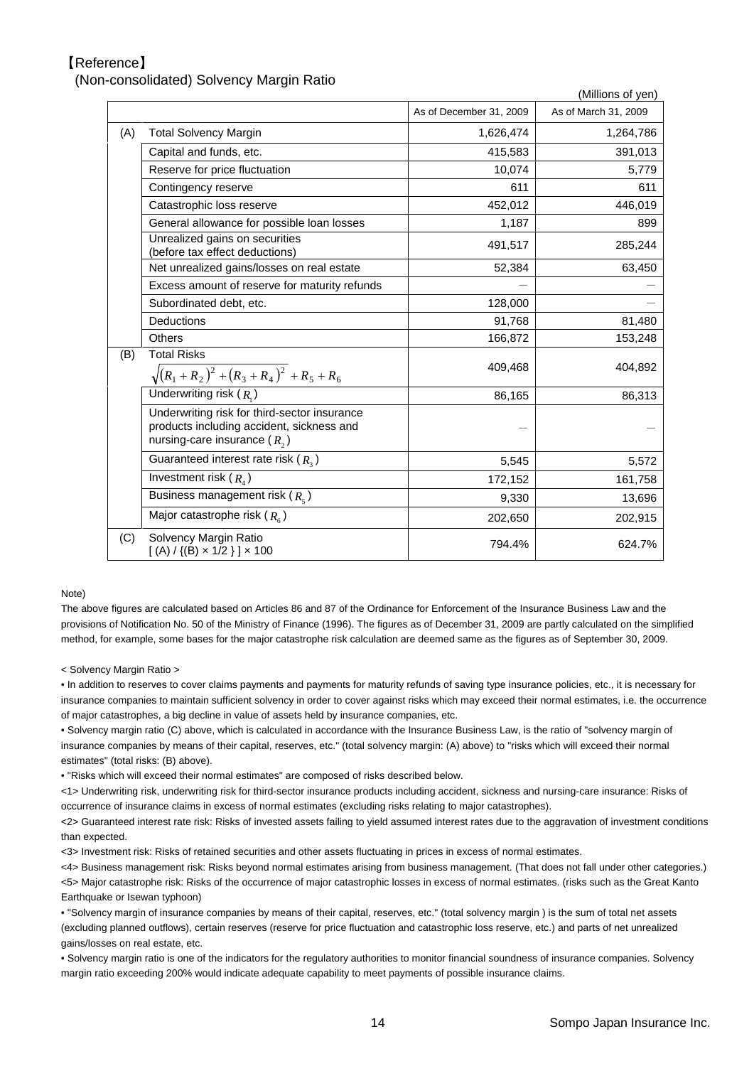#### 【Reference】

(Non-consolidated) Solvency Margin Ratio

|     |                                                                                                                             |                         | (Millions of yen)    |
|-----|-----------------------------------------------------------------------------------------------------------------------------|-------------------------|----------------------|
|     |                                                                                                                             | As of December 31, 2009 | As of March 31, 2009 |
| (A) | <b>Total Solvency Margin</b>                                                                                                | 1,626,474               | 1,264,786            |
|     | Capital and funds, etc.                                                                                                     | 415,583                 | 391,013              |
|     | Reserve for price fluctuation                                                                                               | 10,074                  | 5,779                |
|     | Contingency reserve                                                                                                         | 611                     | 611                  |
|     | Catastrophic loss reserve                                                                                                   | 452,012                 | 446,019              |
|     | General allowance for possible loan losses                                                                                  | 1,187                   | 899                  |
|     | Unrealized gains on securities<br>(before tax effect deductions)                                                            | 491,517                 | 285,244              |
|     | Net unrealized gains/losses on real estate                                                                                  | 52,384                  | 63,450               |
|     | Excess amount of reserve for maturity refunds                                                                               |                         |                      |
|     | Subordinated debt, etc.                                                                                                     | 128,000                 |                      |
|     | Deductions                                                                                                                  | 91,768                  | 81,480               |
|     | Others                                                                                                                      | 166,872                 | 153,248              |
| (B) | <b>Total Risks</b><br>$\sqrt{(R_1+R_2)^2+(R_3+R_4)^2+R_5+R_6}$                                                              | 409,468                 | 404,892              |
|     | Underwriting risk $(R_1)$                                                                                                   | 86,165                  | 86,313               |
|     | Underwriting risk for third-sector insurance<br>products including accident, sickness and<br>nursing-care insurance $(R, )$ |                         |                      |
|     | Guaranteed interest rate risk $(R_3)$                                                                                       | 5,545                   | 5,572                |
|     | Investment risk $(R_4)$                                                                                                     | 172,152                 | 161,758              |
|     | Business management risk $(R_s)$                                                                                            | 9,330                   | 13,696               |
|     | Major catastrophe risk $(R_{\epsilon})$                                                                                     | 202,650                 | 202,915              |
| (C) | Solvency Margin Ratio<br>$[(A) / {(B) \times 1/2}] \times 100$                                                              | 794.4%                  | 624.7%               |

#### Note)

The above figures are calculated based on Articles 86 and 87 of the Ordinance for Enforcement of the Insurance Business Law and the provisions of Notification No. 50 of the Ministry of Finance (1996). The figures as of December 31, 2009 are partly calculated on the simplified method, for example, some bases for the major catastrophe risk calculation are deemed same as the figures as of September 30, 2009.

< Solvency Margin Ratio >

• In addition to reserves to cover claims payments and payments for maturity refunds of saving type insurance policies, etc., it is necessary for insurance companies to maintain sufficient solvency in order to cover against risks which may exceed their normal estimates, i.e. the occurrence of major catastrophes, a big decline in value of assets held by insurance companies, etc.

• Solvency margin ratio (C) above, which is calculated in accordance with the Insurance Business Law, is the ratio of "solvency margin of insurance companies by means of their capital, reserves, etc." (total solvency margin: (A) above) to "risks which will exceed their normal estimates" (total risks: (B) above).

• "Risks which will exceed their normal estimates" are composed of risks described below.

<1> Underwriting risk, underwriting risk for third-sector insurance products including accident, sickness and nursing-care insurance: Risks of occurrence of insurance claims in excess of normal estimates (excluding risks relating to major catastrophes).

<2> Guaranteed interest rate risk: Risks of invested assets failing to yield assumed interest rates due to the aggravation of investment conditions than expected.

<3> Investment risk: Risks of retained securities and other assets fluctuating in prices in excess of normal estimates.

<4> Business management risk: Risks beyond normal estimates arising from business management. (That does not fall under other categories.) <5> Major catastrophe risk: Risks of the occurrence of major catastrophic losses in excess of normal estimates. (risks such as the Great Kanto Earthquake or Isewan typhoon)

• "Solvency margin of insurance companies by means of their capital, reserves, etc." (total solvency margin ) is the sum of total net assets (excluding planned outflows), certain reserves (reserve for price fluctuation and catastrophic loss reserve, etc.) and parts of net unrealized gains/losses on real estate, etc.

• Solvency margin ratio is one of the indicators for the regulatory authorities to monitor financial soundness of insurance companies. Solvency margin ratio exceeding 200% would indicate adequate capability to meet payments of possible insurance claims.